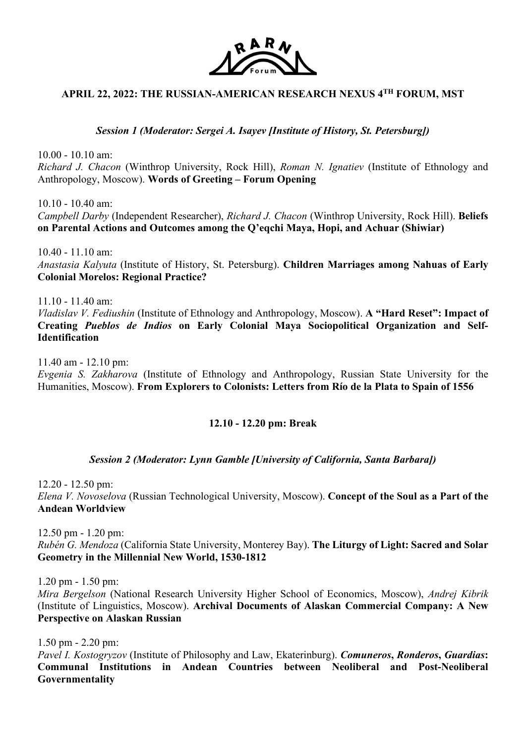

# **APRIL 22, 2022: THE RUSSIAN-AMERICAN RESEARCH NEXUS 4TH FORUM, MST**

*Session 1 (Moderator: Sergei A. Isayev [Institute of History, St. Petersburg])*

10.00 - 10.10 am: *Richard J. Chacon* (Winthrop University, Rock Hill), *Roman N. Ignatiev* (Institute of Ethnology and Anthropology, Moscow). **Words of Greeting – Forum Opening**

10.10 - 10.40 am:

*Campbell Darby* (Independent Researcher), *Richard J. Chacon* (Winthrop University, Rock Hill). **Beliefs on Parental Actions and Outcomes among the Q'eqchi Maya, Hopi, and Achuar (Shiwiar)**

10.40 - 11.10 am: *Anastasia Kalyuta* (Institute of History, St. Petersburg). **Children Marriages among Nahuas of Early Colonial Morelos: Regional Practice?**

11.10 - 11.40 am: *Vladislav V. Fediushin* (Institute of Ethnology and Anthropology, Moscow). **A "Hard Reset": Impact of Creating** *Pueblos de Indios* **on Early Colonial Maya Sociopolitical Organization and Self-Identification**

11.40 am - 12.10 pm: *Evgenia S. Zakharova* (Institute of Ethnology and Anthropology, Russian State University for the Humanities, Moscow). **From Explorers to Colonists: Letters from Río de la Plata to Spain of 1556**

## **12.10 - 12.20 pm: Break**

#### *Session 2 (Moderator: Lynn Gamble [University of California, Santa Barbara])*

12.20 - 12.50 pm: *Elena V. Novoselova* (Russian Technological University, Moscow). **Concept of the Soul as a Part of the Andean Worldview**

12.50 pm - 1.20 pm: *Rubén G. Mendoza* (California State University, Monterey Bay). **The Liturgy of Light: Sacred and Solar Geometry in the Millennial New World, 1530-1812**

1.20 pm - 1.50 pm:

*Mira Bergelson* (National Research University Higher School of Economics, Moscow), *Andrej Kibrik* (Institute of Linguistics, Moscow). **Archival Documents of Alaskan Commercial Company: A New Perspective on Alaskan Russian**

1.50 pm - 2.20 pm:

*Pavel I. Kostogryzov* (Institute of Philosophy and Law, Ekaterinburg). *Comuneros***,** *Ronderos***,** *Guardias***: Communal Institutions in Andean Countries between Neoliberal and Post-Neoliberal Governmentality**